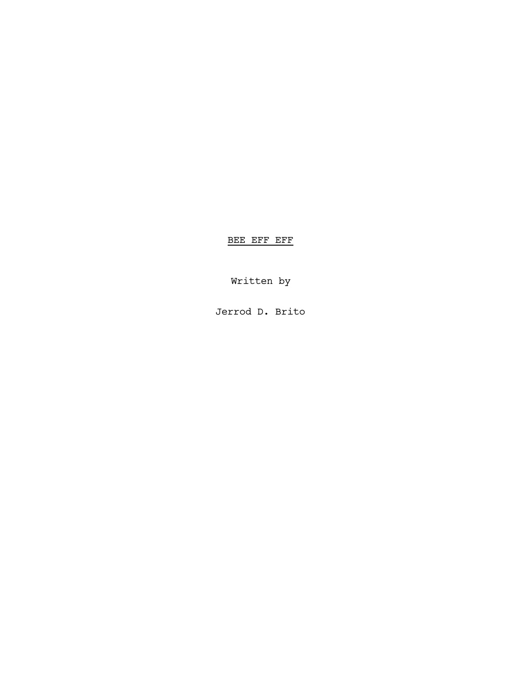BEE EFF EFF

Written by

Jerrod D. Brito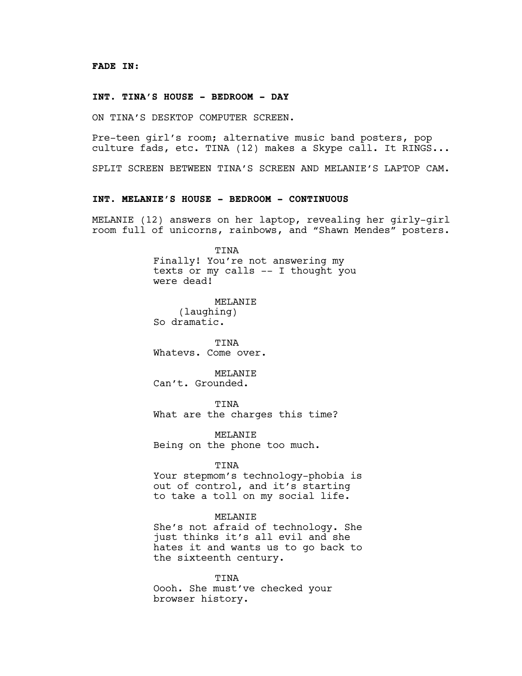#### **INT. TINA'S HOUSE - BEDROOM - DAY**

ON TINA'S DESKTOP COMPUTER SCREEN.

Pre-teen girl's room; alternative music band posters, pop culture fads, etc. TINA (12) makes a Skype call. It RINGS...

SPLIT SCREEN BETWEEN TINA'S SCREEN AND MELANIE'S LAPTOP CAM.

## **INT. MELANIE'S HOUSE - BEDROOM - CONTINUOUS**

MELANIE (12) answers on her laptop, revealing her girly-girl room full of unicorns, rainbows, and "Shawn Mendes" posters.

TINA

Finally! You're not answering my texts or my calls -- I thought you were dead!

MELANIE (laughing) So dramatic.

TINA Whatevs. Come over.

MELANIE Can't. Grounded.

TINA What are the charges this time?

MELANIE Being on the phone too much.

TINA

Your stepmom's technology-phobia is out of control, and it's starting to take a toll on my social life.

### MELANIE

She's not afraid of technology. She just thinks it's all evil and she hates it and wants us to go back to the sixteenth century.

TINA Oooh. She must've checked your browser history.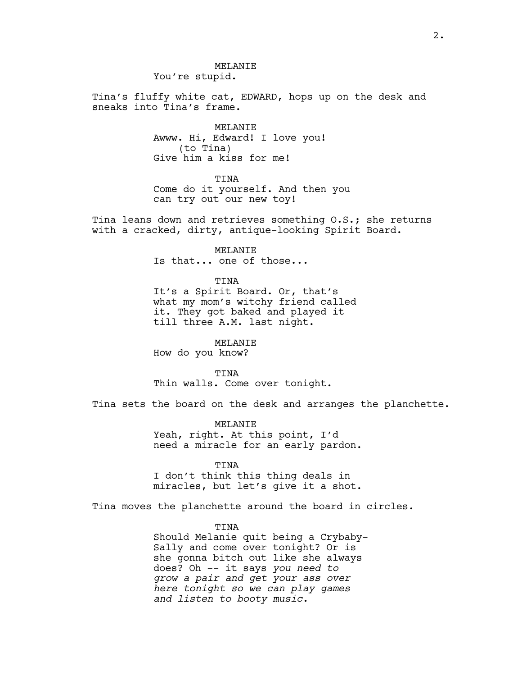## MELANIE You're stupid.

Tina's fluffy white cat, EDWARD, hops up on the desk and sneaks into Tina's frame.

> MELANIE Awww. Hi, Edward! I love you! (to Tina) Give him a kiss for me!

TINA Come do it yourself. And then you can try out our new toy!

Tina leans down and retrieves something O.S.; she returns with a cracked, dirty, antique-looking Spirit Board.

MELANIE

Is that... one of those...

TINA

It's a Spirit Board. Or, that's what my mom's witchy friend called it. They got baked and played it till three A.M. last night.

MELANIE How do you know?

TINA Thin walls. Come over tonight.

Tina sets the board on the desk and arranges the planchette.

MELANIE Yeah, right. At this point, I'd need a miracle for an early pardon.

TINA

I don't think this thing deals in miracles, but let's give it a shot.

Tina moves the planchette around the board in circles.

TINA

Should Melanie quit being a Crybaby-Sally and come over tonight? Or is she gonna bitch out like she always does? Oh -- it says *you need to grow a pair and get your ass over here tonight so we can play games and listen to booty music*.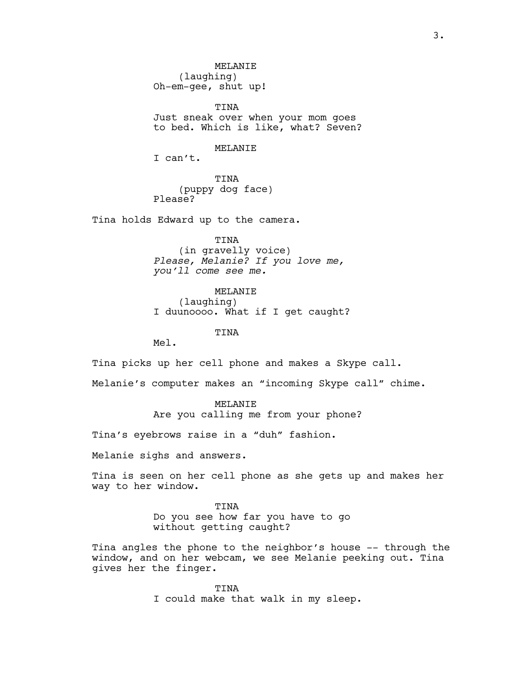MELANIE (laughing) Oh-em-gee, shut up!

TINA Just sneak over when your mom goes to bed. Which is like, what? Seven?

MELANIE

I can't.

TINA (puppy dog face) Please?

Tina holds Edward up to the camera.

TINA (in gravelly voice) *Please, Melanie? If you love me, you'll come see me.*

MELANIE (laughing) I duunoooo. What if I get caught?

TINA

Mel.

Tina picks up her cell phone and makes a Skype call.

Melanie's computer makes an "incoming Skype call" chime.

MELANIE Are you calling me from your phone?

Tina's eyebrows raise in a "duh" fashion.

Melanie sighs and answers.

Tina is seen on her cell phone as she gets up and makes her way to her window.

> TINA Do you see how far you have to go without getting caught?

Tina angles the phone to the neighbor's house -- through the window, and on her webcam, we see Melanie peeking out. Tina gives her the finger.

> TINA I could make that walk in my sleep.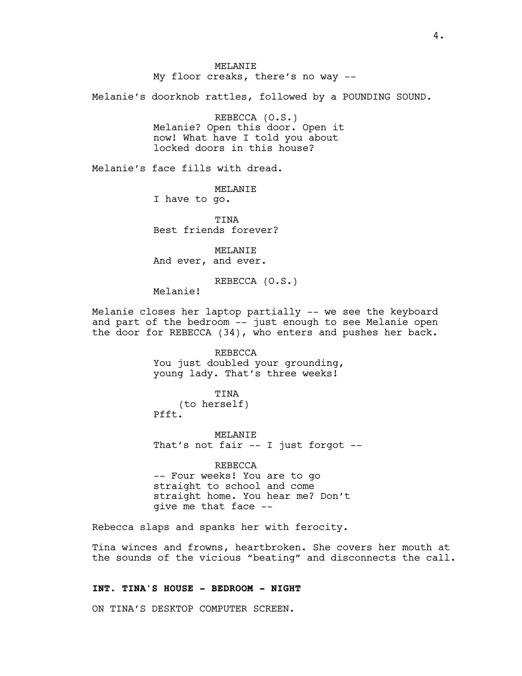MELANIE My floor creaks, there's no way --

Melanie's doorknob rattles, followed by a POUNDING SOUND.

REBECCA (O.S.) Melanie? Open this door. Open it now! What have I told you about locked doors in this house?

Melanie's face fills with dread.

MELANIE I have to go.

**TINA** 

Best friends forever?

MELANIE And ever, and ever.

REBECCA (O.S.)

Melanie!

Melanie closes her laptop partially -- we see the keyboard and part of the bedroom -- just enough to see Melanie open the door for REBECCA (34), who enters and pushes her back.

> REBECCA You just doubled your grounding, young lady. That's three weeks!

TINA (to herself) Pfft.

MELANIE That's not fair -- I just forgot --

REBECCA -- Four weeks! You are to go straight to school and come straight home. You hear me? Don't give me that face --

Rebecca slaps and spanks her with ferocity.

Tina winces and frowns, heartbroken. She covers her mouth at the sounds of the vicious "beating" and disconnects the call.

### **INT. TINA'S HOUSE - BEDROOM - NIGHT**

ON TINA'S DESKTOP COMPUTER SCREEN.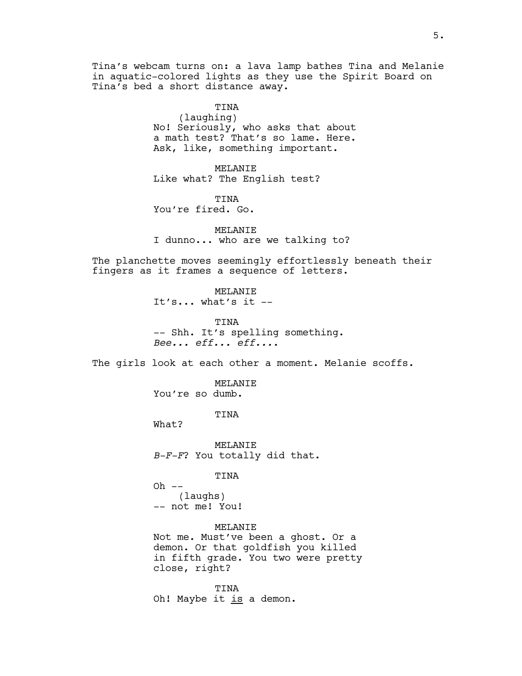Tina's webcam turns on: a lava lamp bathes Tina and Melanie in aquatic-colored lights as they use the Spirit Board on Tina's bed a short distance away.

> TINA (laughing) No! Seriously, who asks that about a math test? That's so lame. Here. Ask, like, something important.

MELANIE Like what? The English test?

TINA You're fired. Go.

MELANIE I dunno... who are we talking to?

The planchette moves seemingly effortlessly beneath their fingers as it frames a sequence of letters.

> MELANIE It's... what's it --

TINA -- Shh. It's spelling something. *Bee... eff... eff....*

The girls look at each other a moment. Melanie scoffs.

MELANIE You're so dumb.

TINA

What?

MELANIE *B-F-F*? You totally did that.

#### TINA

 $Oh$   $--$ (laughs) -- not me! You!

MELANIE Not me. Must've been a ghost. Or a demon. Or that goldfish you killed in fifth grade. You two were pretty close, right?

TINA Oh! Maybe it is a demon.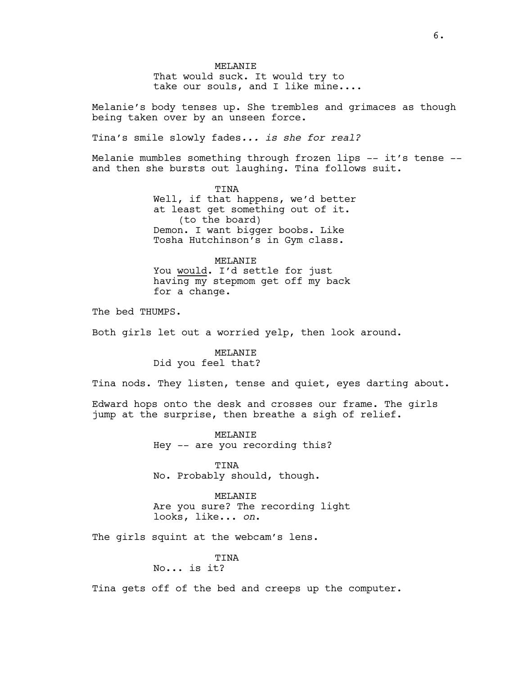MELANIE That would suck. It would try to take our souls, and I like mine....

Melanie's body tenses up. She trembles and grimaces as though being taken over by an unseen force.

Tina's smile slowly fades*... is she for real?*

Melanie mumbles something through frozen lips -- it's tense -and then she bursts out laughing. Tina follows suit.

> TINA Well, if that happens, we'd better at least get something out of it. (to the board) Demon. I want bigger boobs. Like Tosha Hutchinson's in Gym class.

MELANIE You would. I'd settle for just having my stepmom get off my back for a change.

The bed THUMPS.

Both girls let out a worried yelp, then look around.

# MELANIE Did you feel that?

Tina nods. They listen, tense and quiet, eyes darting about.

Edward hops onto the desk and crosses our frame. The girls jump at the surprise, then breathe a sigh of relief.

> MELANIE Hey -- are you recording this?

TINA No. Probably should, though.

MELANIE Are you sure? The recording light looks, like... *on*.

The girls squint at the webcam's lens.

TINA No... is it?

Tina gets off of the bed and creeps up the computer.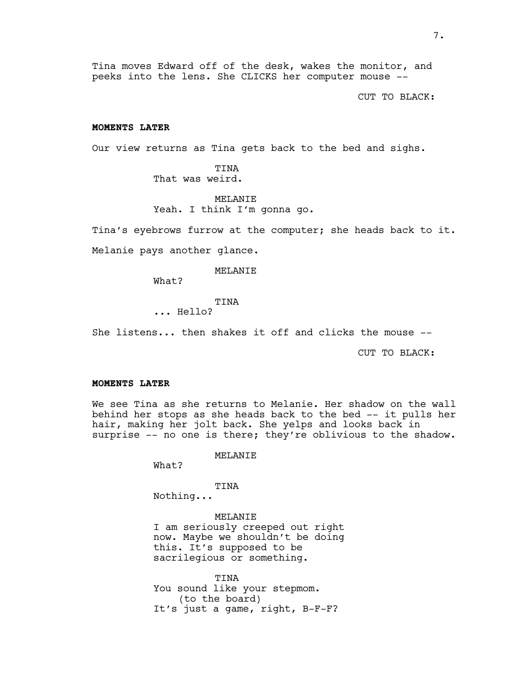Tina moves Edward off of the desk, wakes the monitor, and peeks into the lens. She CLICKS her computer mouse --

CUT TO BLACK:

## **MOMENTS LATER**

Our view returns as Tina gets back to the bed and sighs.

TINA That was weird.

MELANIE Yeah. I think I'm gonna go.

Tina's eyebrows furrow at the computer; she heads back to it.

Melanie pays another glance.

MELANIE

What?

TINA

... Hello?

She listens... then shakes it off and clicks the mouse --

CUT TO BLACK:

#### **MOMENTS LATER**

We see Tina as she returns to Melanie. Her shadow on the wall behind her stops as she heads back to the bed -- it pulls her hair, making her jolt back. She yelps and looks back in surprise -- no one is there; they're oblivious to the shadow.

### MELANIE

What?

### TINA

Nothing...

MELANIE I am seriously creeped out right now. Maybe we shouldn't be doing this. It's supposed to be sacrilegious or something.

TINA You sound like your stepmom. (to the board) It's just a game, right, B-F-F?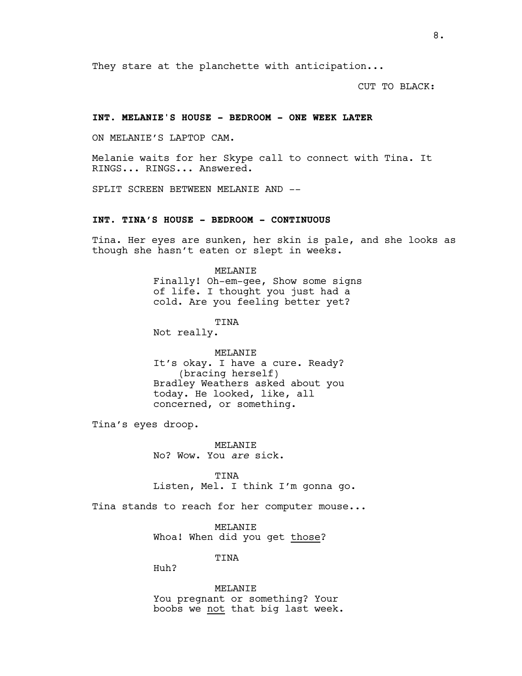They stare at the planchette with anticipation...

CUT TO BLACK:

## **INT. MELANIE'S HOUSE - BEDROOM - ONE WEEK LATER**

ON MELANIE'S LAPTOP CAM.

Melanie waits for her Skype call to connect with Tina. It RINGS... RINGS... Answered.

SPLIT SCREEN BETWEEN MELANIE AND --

## **INT. TINA'S HOUSE - BEDROOM - CONTINUOUS**

Tina. Her eyes are sunken, her skin is pale, and she looks as though she hasn't eaten or slept in weeks.

# MELANIE Finally! Oh-em-gee, Show some signs of life. I thought you just had a cold. Are you feeling better yet?

TINA

Not really.

# MELANIE It's okay. I have a cure. Ready? (bracing herself) Bradley Weathers asked about you today. He looked, like, all concerned, or something.

Tina's eyes droop.

MELANIE No? Wow. You *are* sick.

TINA Listen, Mel. I think I'm gonna go.

Tina stands to reach for her computer mouse...

MELANIE Whoa! When did you get those?

TINA

Huh?

MELANIE You pregnant or something? Your boobs we not that big last week.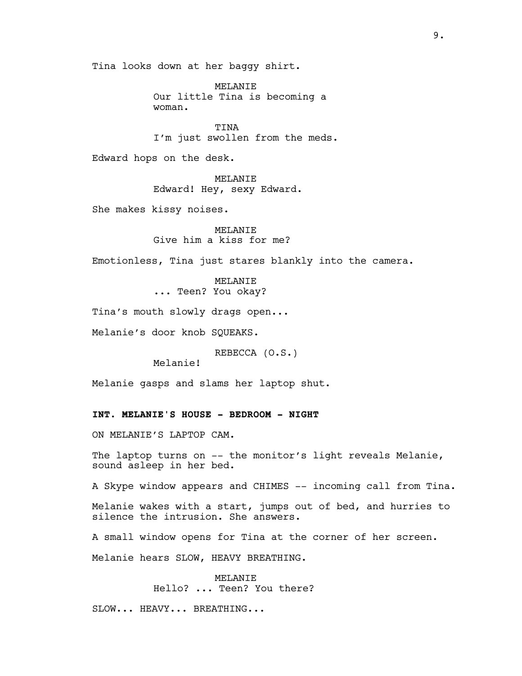Tina looks down at her baggy shirt.

MELANIE Our little Tina is becoming a woman.

TINA I'm just swollen from the meds.

Edward hops on the desk.

MELANIE Edward! Hey, sexy Edward.

She makes kissy noises.

MELANIE Give him a kiss for me?

Emotionless, Tina just stares blankly into the camera.

MELANIE ... Teen? You okay?

Tina's mouth slowly drags open...

Melanie's door knob SQUEAKS.

REBECCA (O.S.)

Melanie!

Melanie gasps and slams her laptop shut.

# **INT. MELANIE'S HOUSE - BEDROOM - NIGHT**

ON MELANIE'S LAPTOP CAM.

The laptop turns on -- the monitor's light reveals Melanie, sound asleep in her bed.

A Skype window appears and CHIMES -- incoming call from Tina.

Melanie wakes with a start, jumps out of bed, and hurries to silence the intrusion. She answers.

A small window opens for Tina at the corner of her screen.

Melanie hears SLOW, HEAVY BREATHING.

MELANIE Hello? ... Teen? You there?

SLOW... HEAVY... BREATHING...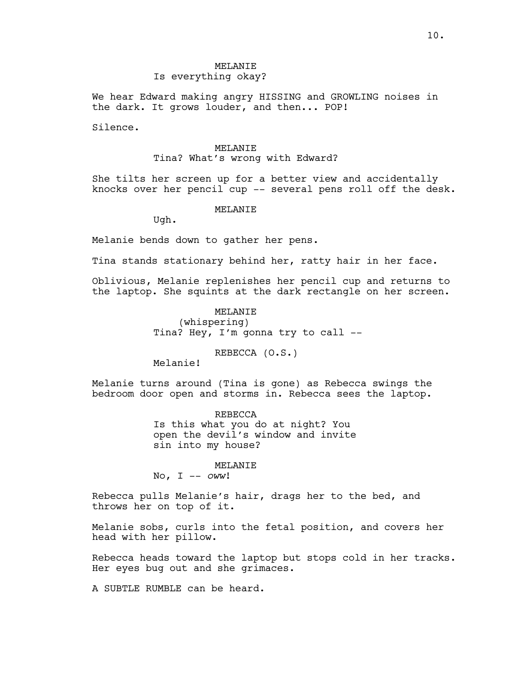We hear Edward making angry HISSING and GROWLING noises in the dark. It grows louder, and then... POP!

Silence.

#### MELANIE

## Tina? What's wrong with Edward?

She tilts her screen up for a better view and accidentally knocks over her pencil cup -- several pens roll off the desk.

#### MELANIE

Ugh.

Melanie bends down to gather her pens.

Tina stands stationary behind her, ratty hair in her face.

Oblivious, Melanie replenishes her pencil cup and returns to the laptop. She squints at the dark rectangle on her screen.

# MELANIE (whispering) Tina? Hey, I'm gonna try to call --

REBECCA (O.S.)

Melanie!

Melanie turns around (Tina is gone) as Rebecca swings the bedroom door open and storms in. Rebecca sees the laptop.

> REBECCA Is this what you do at night? You open the devil's window and invite sin into my house?

> > MELANIE

No, I -- *oww*!

Rebecca pulls Melanie's hair, drags her to the bed, and throws her on top of it.

Melanie sobs, curls into the fetal position, and covers her head with her pillow.

Rebecca heads toward the laptop but stops cold in her tracks. Her eyes bug out and she grimaces.

A SUBTLE RUMBLE can be heard.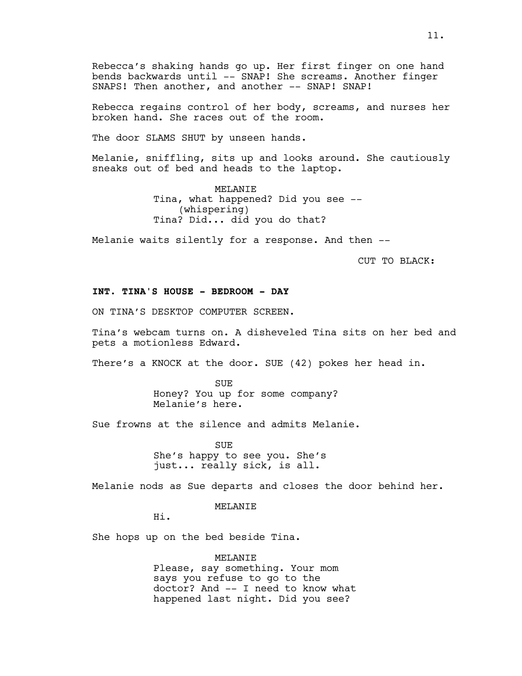Rebecca's shaking hands go up. Her first finger on one hand bends backwards until -- SNAP! She screams. Another finger SNAPS! Then another, and another -- SNAP! SNAP!

Rebecca regains control of her body, screams, and nurses her broken hand. She races out of the room.

The door SLAMS SHUT by unseen hands.

Melanie, sniffling, sits up and looks around. She cautiously sneaks out of bed and heads to the laptop.

> MELANIE Tina, what happened? Did you see -- (whispering) Tina? Did... did you do that?

Melanie waits silently for a response. And then --

CUT TO BLACK:

# **INT. TINA'S HOUSE - BEDROOM - DAY**

ON TINA'S DESKTOP COMPUTER SCREEN.

Tina's webcam turns on. A disheveled Tina sits on her bed and pets a motionless Edward.

There's a KNOCK at the door. SUE (42) pokes her head in.

SUE Honey? You up for some company? Melanie's here.

Sue frowns at the silence and admits Melanie.

**SUE** She's happy to see you. She's just... really sick, is all.

Melanie nods as Sue departs and closes the door behind her.

MELANIE

Hi.

She hops up on the bed beside Tina.

MELANIE Please, say something. Your mom says you refuse to go to the doctor? And -- I need to know what happened last night. Did you see?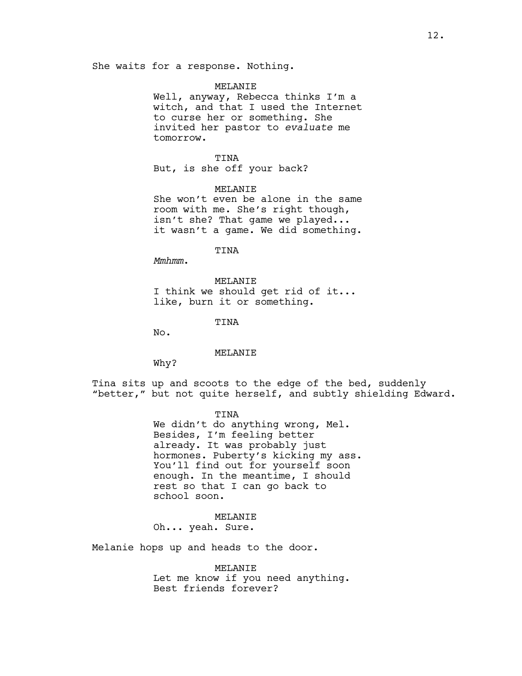She waits for a response. Nothing.

#### MELANIE

Well, anyway, Rebecca thinks I'm a witch, and that I used the Internet to curse her or something. She invited her pastor to *evaluate* me tomorrow.

TINA But, is she off your back?

MELANIE She won't even be alone in the same room with me. She's right though, isn't she? That game we played... it wasn't a game. We did something.

TINA

*Mmhmm*.

MELANIE I think we should get rid of it... like, burn it or something.

TINA

No.

#### MELANIE

Why?

Tina sits up and scoots to the edge of the bed, suddenly "better," but not quite herself, and subtly shielding Edward.

> TINA We didn't do anything wrong, Mel. Besides, I'm feeling better already. It was probably just hormones. Puberty's kicking my ass. You'll find out for yourself soon enough. In the meantime, I should rest so that I can go back to school soon.

MELANIE Oh... yeah. Sure.

Melanie hops up and heads to the door.

MELANIE Let me know if you need anything. Best friends forever?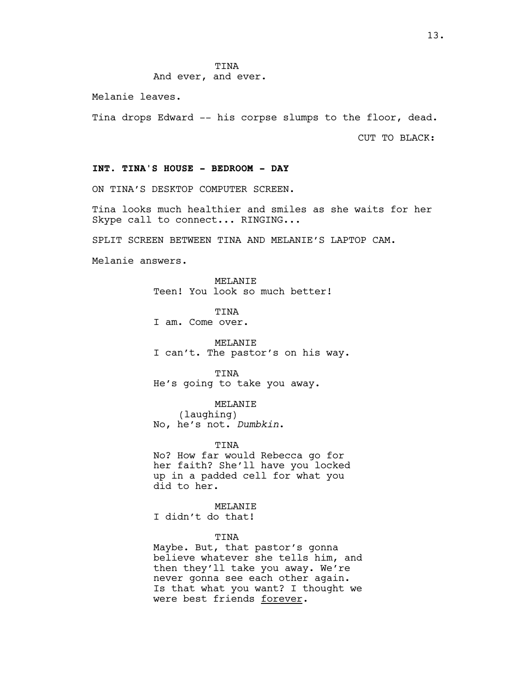# And ever, and ever.

Melanie leaves.

Tina drops Edward -- his corpse slumps to the floor, dead.

CUT TO BLACK:

## **INT. TINA'S HOUSE - BEDROOM - DAY**

ON TINA'S DESKTOP COMPUTER SCREEN.

Tina looks much healthier and smiles as she waits for her Skype call to connect... RINGING...

SPLIT SCREEN BETWEEN TINA AND MELANIE'S LAPTOP CAM.

Melanie answers.

MELANIE Teen! You look so much better!

TINA I am. Come over.

MELANIE I can't. The pastor's on his way.

TINA He's going to take you away.

MELANIE (laughing) No, he's not. *Dumbkin*.

TINA

No? How far would Rebecca go for her faith? She'll have you locked up in a padded cell for what you did to her.

MELANIE I didn't do that!

TINA

Maybe. But, that pastor's gonna believe whatever she tells him, and then they'll take you away. We're never gonna see each other again. Is that what you want? I thought we were best friends forever.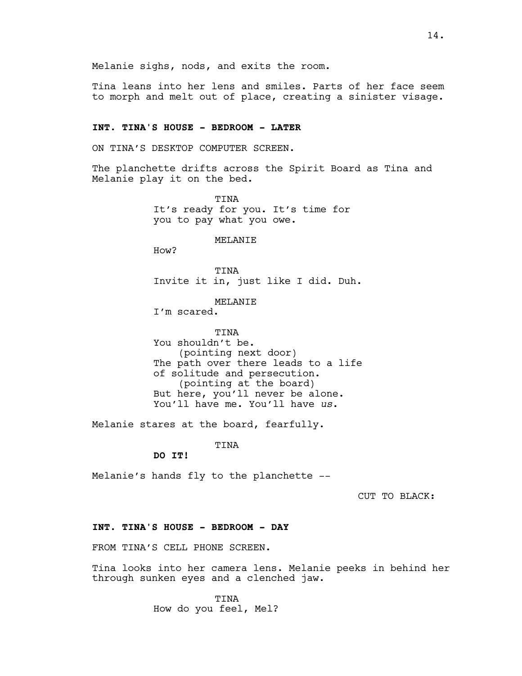Melanie sighs, nods, and exits the room.

Tina leans into her lens and smiles. Parts of her face seem to morph and melt out of place, creating a sinister visage.

## **INT. TINA'S HOUSE - BEDROOM - LATER**

ON TINA'S DESKTOP COMPUTER SCREEN.

The planchette drifts across the Spirit Board as Tina and Melanie play it on the bed.

> TINA It's ready for you. It's time for you to pay what you owe.

> > MELANIE

How?

TINA Invite it in, just like I did. Duh.

MELANIE

I'm scared.

TINA You shouldn't be. (pointing next door) The path over there leads to a life of solitude and persecution. (pointing at the board) But here, you'll never be alone. You'll have me. You'll have *us*.

Melanie stares at the board, fearfully.

TINA

**DO IT!**

Melanie's hands fly to the planchette --

CUT TO BLACK:

### **INT. TINA'S HOUSE - BEDROOM - DAY**

FROM TINA'S CELL PHONE SCREEN.

Tina looks into her camera lens. Melanie peeks in behind her through sunken eyes and a clenched jaw.

> TINA How do you feel, Mel?